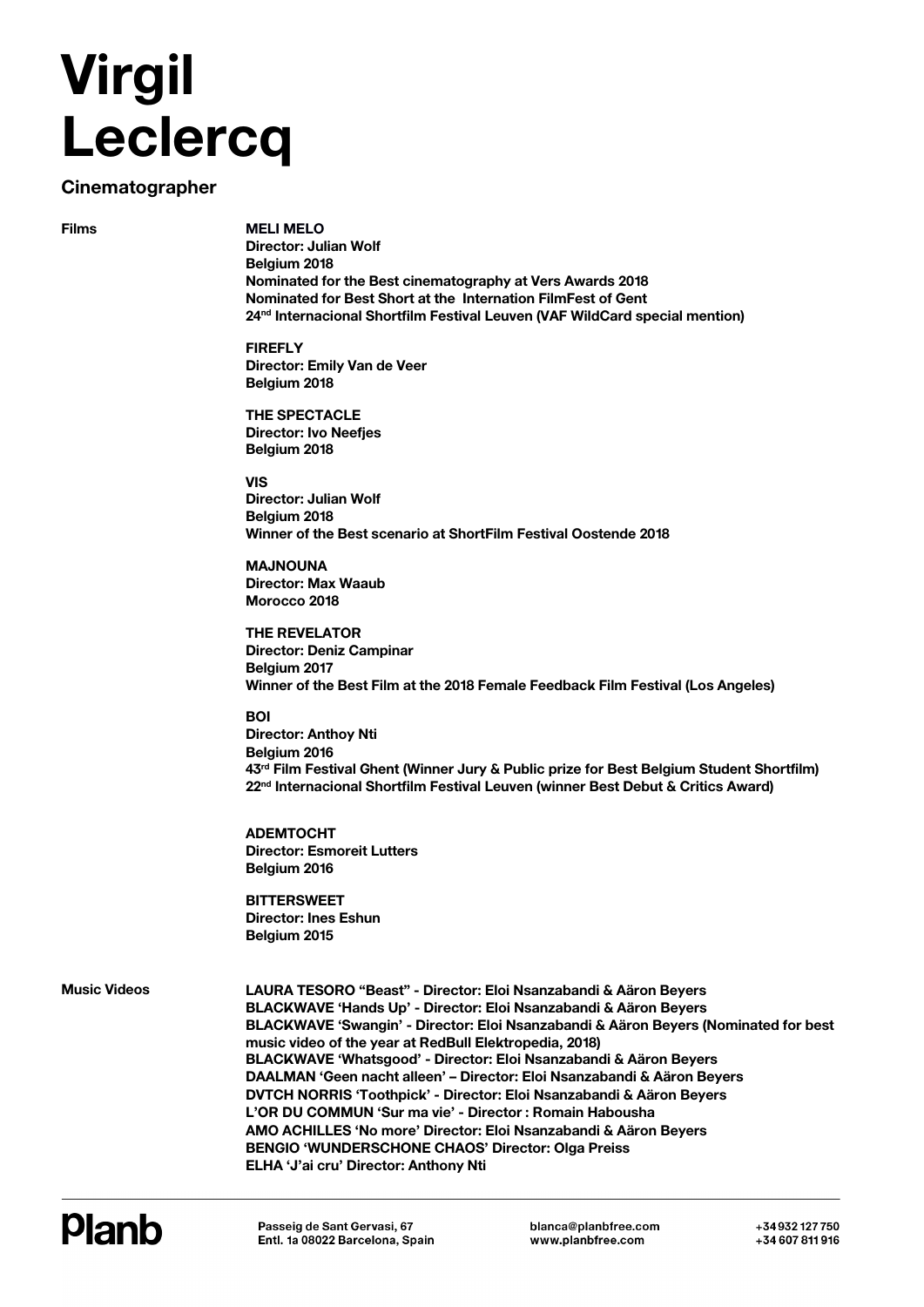## **Virgil Leclercq**

## **Cinematographer**

**Films**

**MELI MELO Director: Julian Wolf Belgium 2018 Nominated for the Best cinematography at Vers Awards 2018 Nominated for Best Short at the Internation FilmFest of Gent 24nd Internacional Shortfilm Festival Leuven (VAF WildCard special mention)**

**FIREFLY Director: Emily Van de Veer Belgium 2018**

**THE SPECTACLE Director: Ivo Neefjes Belgium 2018**

**VIS Director: Julian Wolf Belgium 2018 Winner of the Best scenario at ShortFilm Festival Oostende 2018**

**MAJNOUNA Director: Max Waaub Morocco 2018**

**THE REVELATOR Director: Deniz Campinar Belgium 2017 Winner of the Best Film at the 2018 Female Feedback Film Festival (Los Angeles)**

## **BOI**

**Director: Anthoy Nti Belgium 2016 43rd Film Festival Ghent (Winner Jury & Public prize for Best Belgium Student Shortfilm) 22nd Internacional Shortfilm Festival Leuven (winner Best Debut & Critics Award)** 

**ADEMTOCHT Director: Esmoreit Lutters Belgium 2016**

**BITTERSWEET Director: Ines Eshun Belgium 2015**

**Music Videos**

**LAURA TESORO "Beast" - Director: Eloi Nsanzabandi & Aäron Beyers BLACKWAVE 'Hands Up' - Director: Eloi Nsanzabandi & Aäron Beyers BLACKWAVE 'Swangin' - Director: Eloi Nsanzabandi & Aäron Beyers (Nominated for best music video of the year at RedBull Elektropedia, 2018) BLACKWAVE 'Whatsgood' - Director: Eloi Nsanzabandi & Aäron Beyers DAALMAN 'Geen nacht alleen' – Director: Eloi Nsanzabandi & Aäron Beyers DVTCH NORRIS 'Toothpick' - Director: Eloi Nsanzabandi & Aäron Beyers L'OR DU COMMUN 'Sur ma vie' - Director : Romain Habousha AMO ACHILLES 'No more' Director: Eloi Nsanzabandi & Aäron Beyers BENGIO 'WUNDERSCHONE CHAOS' Director: Olga Preiss ELHA 'J'ai cru' Director: Anthony Nti**

## **Planb**